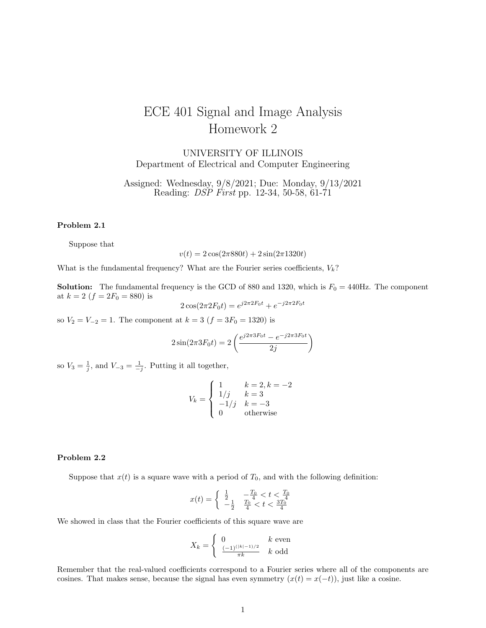# ECE 401 Signal and Image Analysis Homework 2

UNIVERSITY OF ILLINOIS Department of Electrical and Computer Engineering

Assigned: Wednesday, 9/8/2021; Due: Monday, 9/13/2021 Reading: *DSP First* pp. 12-34, 50-58, 61-71

#### Problem 2.1

Suppose that

 $v(t) = 2\cos(2\pi 880t) + 2\sin(2\pi 1320t)$ 

What is the fundamental frequency? What are the Fourier series coefficients,  $V_k$ ?

**Solution:** The fundamental frequency is the GCD of 880 and 1320, which is  $F_0 = 440$ Hz. The component at  $k=2\ (f=2F_0=880)$  is

$$
2\cos(2\pi 2F_0 t) = e^{j2\pi 2F_0 t} + e^{-j2\pi 2F_0 t}
$$

so  $V_2 = V_{-2} = 1$ . The component at  $k = 3$   $(f = 3F_0 = 1320)$  is

$$
2\sin(2\pi 3F_0t) = 2\left(\frac{e^{j2\pi 3F_0t} - e^{-j2\pi 3F_0t}}{2j}\right)
$$

so  $V_3 = \frac{1}{j}$ , and  $V_{-3} = \frac{1}{-j}$ . Putting it all together,

$$
V_k = \begin{cases} 1 & k = 2, k = -2 \\ 1/j & k = 3 \\ -1/j & k = -3 \\ 0 & \text{otherwise} \end{cases}
$$

## Problem 2.2

Suppose that  $x(t)$  is a square wave with a period of  $T_0$ , and with the following definition:

$$
x(t) = \begin{cases} \frac{1}{2} & -\frac{T_0}{4} < t < \frac{T_0}{4} \\ -\frac{1}{2} & \frac{T_0}{4} < t < \frac{3T_0^4}{4} \end{cases}
$$

We showed in class that the Fourier coefficients of this square wave are

$$
X_k = \begin{cases} 0 & k \text{ even} \\ \frac{(-1)^{(|k|-1)/2}}{\pi k} & k \text{ odd} \end{cases}
$$

Remember that the real-valued coefficients correspond to a Fourier series where all of the components are cosines. That makes sense, because the signal has even symmetry  $(x(t) = x(-t))$ , just like a cosine.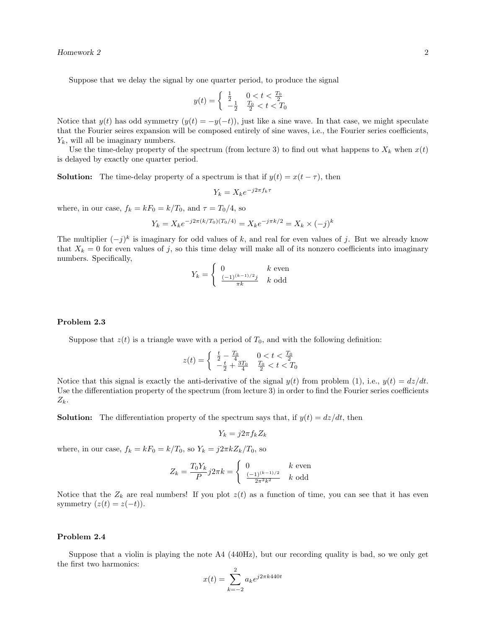Suppose that we delay the signal by one quarter period, to produce the signal

$$
y(t) = \begin{cases} \frac{1}{2} & 0 < t < \frac{T_0}{2} \\ -\frac{1}{2} & \frac{T_0}{2} < t < T_0 \end{cases}
$$

Notice that  $y(t)$  has odd symmetry  $(y(t) = -y(-t))$ , just like a sine wave. In that case, we might speculate that the Fourier seires expansion will be composed entirely of sine waves, i.e., the Fourier series coefficients,  $Y_k$ , will all be imaginary numbers.

Use the time-delay property of the spectrum (from lecture 3) to find out what happens to  $X_k$  when  $x(t)$ is delayed by exactly one quarter period.

**Solution:** The time-delay property of a spectrum is that if  $y(t) = x(t - \tau)$ , then

$$
Y_k = X_k e^{-j2\pi f_k \tau}
$$

where, in our case,  $f_k = kF_0 = k/T_0$ , and  $\tau = T_0/4$ , so

$$
Y_k = X_k e^{-j2\pi (k/T_0)(T_0/4)} = X_k e^{-j\pi k/2} = X_k \times (-j)^k
$$

The multiplier  $(-j)^k$  is imaginary for odd values of k, and real for even values of j. But we already know that  $X_k = 0$  for even values of j, so this time delay will make all of its nonzero coefficients into imaginary numbers. Specifically,

$$
Y_k = \begin{cases} 0 & k \text{ even} \\ \frac{(-1)^{(k-1)/2}j}{\pi k} & k \text{ odd} \end{cases}
$$

### Problem 2.3

Suppose that  $z(t)$  is a triangle wave with a period of  $T_0$ , and with the following definition:

$$
z(t) = \begin{cases} \frac{t}{2} - \frac{T_0}{4} & 0 < t < \frac{T_0}{2} \\ -\frac{t}{2} + \frac{3T_0}{4} & \frac{T_0}{2} < t < T_0 \end{cases}
$$

Notice that this signal is exactly the anti-derivative of the signal  $y(t)$  from problem (1), i.e.,  $y(t) = dz/dt$ . Use the differentiation property of the spectrum (from lecture 3) in order to find the Fourier series coefficients  $Z_k$ .

**Solution:** The differentiation property of the spectrum says that, if  $y(t) = dz/dt$ , then

$$
Y_k = j2\pi f_k Z_k
$$

where, in our case,  $f_k = kF_0 = k/T_0$ , so  $Y_k = j2\pi kZ_k/T_0$ , so

$$
Z_k = \frac{T_0 Y_k}{P} j 2\pi k = \begin{cases} 0 & k \text{ even} \\ \frac{(-1)^{(k-1)/2}}{2\pi^2 k^2} & k \text{ odd} \end{cases}
$$

Notice that the  $Z_k$  are real numbers! If you plot  $z(t)$  as a function of time, you can see that it has even symmetry  $(z(t) = z(-t))$ .

## Problem 2.4

Suppose that a violin is playing the note A4 (440Hz), but our recording quality is bad, so we only get the first two harmonics:  $\overline{2}$ 

$$
x(t) = \sum_{k=-2}^{2} a_k e^{j2\pi k440t}
$$